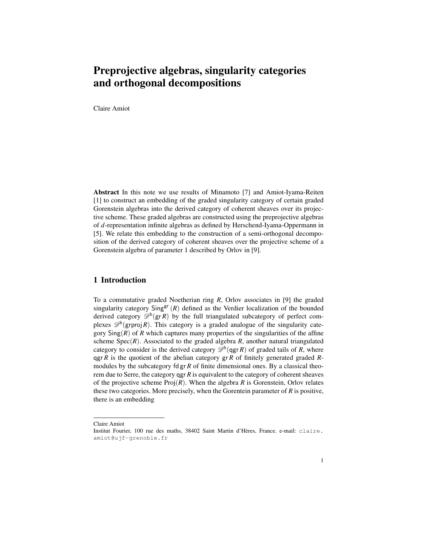# Preprojective algebras, singularity categories and orthogonal decompositions

Claire Amiot

Abstract In this note we use results of Minamoto [7] and Amiot-Iyama-Reiten [1] to construct an embedding of the graded singularity category of certain graded Gorenstein algebras into the derived category of coherent sheaves over its projective scheme. These graded algebras are constructed using the preprojective algebras of *d*-representation infinite algebras as defined by Herschend-Iyama-Oppermann in [5]. We relate this embedding to the construction of a semi-orthogonal decomposition of the derived category of coherent sheaves over the projective scheme of a Gorenstein algebra of parameter 1 described by Orlov in [9].

### 1 Introduction

To a commutative graded Noetherian ring *R*, Orlov associates in [9] the graded singularity category  $\text{Sing}^{\text{gr}}(R)$  defined as the Verdier localization of the bounded derived category  $\mathscr{D}^b$ (gr*R*) by the full triangulated subcategory of perfect complexes  $\mathscr{D}^b$ (grproj R). This category is a graded analogue of the singularity category  $\text{Sing}(R)$  of R which captures many properties of the singularities of the affine scheme  $Spec(R)$ . Associated to the graded algebra  $R$ , another natural triangulated category to consider is the derived category  $\mathcal{D}^b$ (qgr *R*) of graded tails of *R*, where qgr *R* is the quotient of the abelian category gr *R* of finitely generated graded *R*modules by the subcategory fd gr *R* of finite dimensional ones. By a classical theorem due to Serre, the category qgr *R* is equivalent to the category of coherent sheaves of the projective scheme  $\text{Proj}(R)$ . When the algebra R is Gorenstein, Orlov relates these two categories. More precisely, when the Gorentein parameter of *R* is positive, there is an embedding

Claire Amiot

Institut Fourier, 100 rue des maths, 38402 Saint Martin d'Hères, France. e-mail: claire. amiot@ujf-grenoble.fr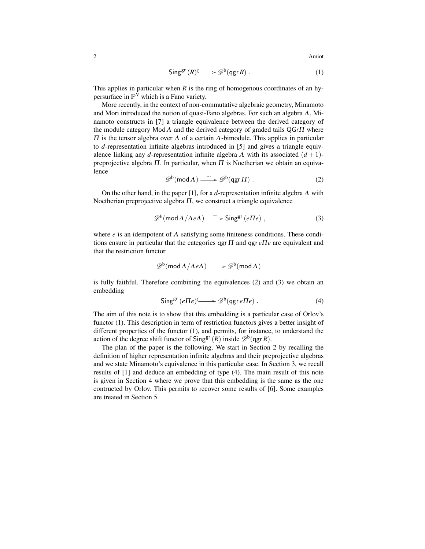$$
\mathsf{Sing}^{\mathsf{gr}}(R) \longrightarrow \mathscr{D}^{\mathsf{b}}(\mathsf{qgr} R) . \tag{1}
$$

This applies in particular when  $R$  is the ring of homogenous coordinates of an hypersurface in  $\mathbb{P}^{\bar{N}}$  which is a Fano variety.

More recently, in the context of non-commutative algebraic geometry, Minamoto and Mori introduced the notion of quasi-Fano algebras. For such an algebra  $\Lambda$ , Minamoto constructs in [7] a triangle equivalence between the derived category of the module category  $\text{Mod}\Lambda$  and the derived category of graded tails QGr $\Pi$  where  $\Pi$  is the tensor algebra over  $\Lambda$  of a certain  $\Lambda$ -bimodule. This applies in particular to *d*-representation infinite algebras introduced in [5] and gives a triangle equivalence linking any *d*-representation infinite algebra  $\Lambda$  with its associated  $(d+1)$ preprojective algebra  $\Pi$ . In particular, when  $\Pi$  is Noetherian we obtain an equivalence

$$
\mathscr{D}^b(\operatorname{mod} \Lambda) \xrightarrow{\sim} \mathscr{D}^b(\operatorname{qgr} \Pi) . \tag{2}
$$

On the other hand, in the paper [1], for a *d*-representation infinite algebra Λ with Noetherian preprojective algebra  $\Pi$ , we construct a triangle equivalence

$$
\mathscr{D}^b(\text{mod}\,\Lambda/\Lambda e\Lambda) \xrightarrow{\sim} \text{Sing}^{\text{gr}}\,(e\Pi e) ,
$$
 (3)

where *e* is an idempotent of  $\Lambda$  satisfying some finiteness conditions. These conditions ensure in particular that the categories qgr Π and qgr *e*Π*e* are equivalent and that the restriction functor

$$
\mathscr{D}^{\rm b}(\operatorname{mod} A/AeA) \longrightarrow \mathscr{D}^{\rm b}(\operatorname{mod} A)
$$

is fully faithful. Therefore combining the equivalences (2) and (3) we obtain an embedding

$$
\mathsf{Sing}^{\mathsf{gr}}(e \Pi e) \longrightarrow \mathscr{D}^{\mathsf{b}}(\mathsf{qgr}\, e \Pi e) . \tag{4}
$$

The aim of this note is to show that this embedding is a particular case of Orlov's functor (1). This description in term of restriction functors gives a better insight of different properties of the functor (1), and permits, for instance, to understand the action of the degree shift functor of  $\textsf{Sing}^{\textsf{gr}}(R)$  inside  $\mathscr{D}^{\textsf{b}}(\textsf{qgr} R)$ .

The plan of the paper is the following. We start in Section 2 by recalling the definition of higher representation infinite algebras and their preprojective algebras and we state Minamoto's equivalence in this particular case. In Section 3, we recall results of [1] and deduce an embedding of type (4). The main result of this note is given in Section 4 where we prove that this embedding is the same as the one contructed by Orlov. This permits to recover some results of [6]. Some examples are treated in Section 5.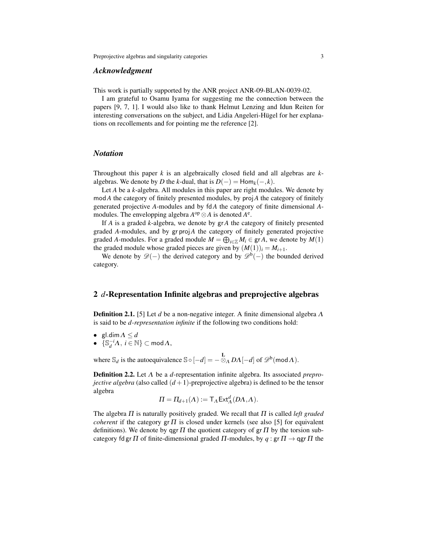#### *Acknowledgment*

This work is partially supported by the ANR project ANR-09-BLAN-0039-02.

I am grateful to Osamu Iyama for suggesting me the connection between the papers [9, 7, 1]. I would also like to thank Helmut Lenzing and Idun Reiten for interesting conversations on the subject, and Lidia Angeleri-Hügel for her explanations on recollements and for pointing me the reference [2].

#### *Notation*

Throughout this paper *k* is an algebraically closed field and all algebras are *k*algebras. We denote by *D* the *k*-dual, that is  $D(-) = \text{Hom}_k(-,k)$ .

Let *A* be a *k*-algebra. All modules in this paper are right modules. We denote by mod*A* the category of finitely presented modules, by proj*A* the category of finitely generated projective *A*-modules and by fd*A* the category of finite dimensional *A*modules. The envelopping algebra  $A^{op} \otimes A$  is denoted  $A^e$ .

If *A* is a graded *k*-algebra, we denote by gr *A* the category of finitely presented graded *A*-modules, and by gr proj*A* the category of finitely generated projective graded *A*-modules. For a graded module  $M = \bigoplus_{i \in \mathbb{Z}} M_i \in \text{gr } A$ , we denote by  $M(1)$ the graded module whose graded pieces are given by  $(M(1))_i = M_{i+1}$ .

We denote by  $\mathscr{D}(-)$  the derived category and by  $\mathscr{D}^b(-)$  the bounded derived category.

#### 2 *d*-Representation Infinite algebras and preprojective algebras

Definition 2.1. [5] Let *d* be a non-negative integer. A finite dimensional algebra Λ is said to be *d-representation infinite* if the following two conditions hold:

- gl.dim  $\Lambda \leq d$
- $\bullet \quad {\{\mathbb{S}_d^{-i}\Lambda, i \in \mathbb{N}\}} \subset \mathsf{mod}\Lambda,$

where  $\mathbb{S}_d$  is the autoequivalence  $\mathbb{S} \circ [-d] = -\frac{L}{\otimes_A D\Lambda} [-d]$  of  $\mathscr{D}^b(\text{mod }\Lambda)$ .

Definition 2.2. Let Λ be a *d*-representation infinite algebra. Its associated *preprojective algebra* (also called  $(d+1)$ -preprojective algebra) is defined to be the tensor algebra

$$
\Pi = \Pi_{d+1}(\Lambda) := \mathsf{T}_{\Lambda} \mathsf{Ext}^d_{\Lambda}(D\Lambda, \Lambda).
$$

The algebra Π is naturally positively graded. We recall that Π is called *left graded coherent* if the category  $g \in \Pi$  is closed under kernels (see also [5] for equivalent definitions). We denote by qgr  $\Pi$  the quotient category of gr  $\Pi$  by the torsion subcategory fd gr  $\Pi$  of finite-dimensional graded  $\Pi$ -modules, by  $q : \text{gr } \Pi \to \text{agr } \Pi$  the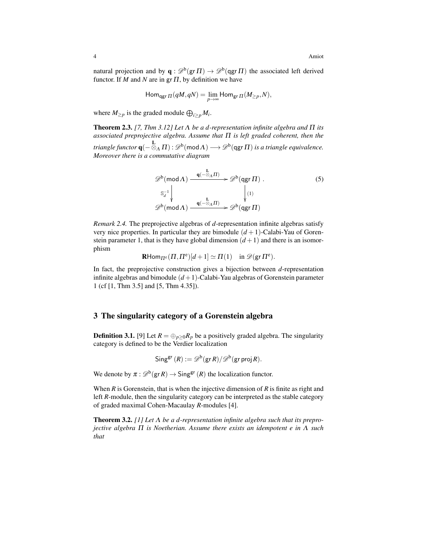natural projection and by  $\mathbf{q} : \mathcal{D}^{\rm b}(\mathsf{g}\mathsf{r}\Pi) \to \mathcal{D}^{\rm b}(\mathsf{g}\mathsf{g}\mathsf{r}\Pi)$  the associated left derived functor. If *M* and *N* are in gr  $\Pi$ , by definition we have

$$
\mathsf{Hom}_{\mathsf{qgr}\, \Pi}(qM, qN) = \lim_{p \to \infty} \mathsf{Hom}_{\mathsf{gr}\, \Pi}(M_{\geq p}, N),
$$

where  $M_{\geq p}$  is the graded module  $\bigoplus_{i\geq p} M_i$ .

Theorem 2.3. *[7, Thm 3.12] Let* Λ *be a d-representation infinite algebra and* Π *its associated preprojective algebra. Assume that* Π *is left graded coherent, then the triangle functor*  $\mathbf{q}(-\otimes_{\Lambda} \Pi)$  :  $\mathscr{D}^b(\textsf{mod}\,\Lambda) \longrightarrow \mathscr{D}^b(\textsf{qgr}\,\Pi)$  *is a triangle equivalence. Moreover there is a commutative diagram*

$$
\mathscr{D}^{b}(\text{mod}\,\Lambda) \xrightarrow{q(-\otimes_{\Lambda} \Pi)} \mathscr{D}^{b}(qgr\,\Pi) .
$$
\n
$$
\begin{array}{c}\n\mathbb{S}_{d}^{-1} \\
\downarrow \\
\mathscr{D}^{b}(\text{mod}\,\Lambda) \xrightarrow{q(-\otimes_{\Lambda} \Pi)} \mathscr{D}^{b}(qgr\,\Pi)\n\end{array} (5)
$$

*Remark 2.4.* The preprojective algebras of *d*-representation infinite algebras satisfy very nice properties. In particular they are bimodule  $(d+1)$ -Calabi-Yau of Gorenstein parameter 1, that is they have global dimension  $(d+1)$  and there is an isomorphism

$$
\scriptstyle{\rm{\bf R}Hom_{\Pi^e}(\Pi,\Pi^e)[d+1]\,\simeq\,\Pi(1)\quad in \mathscr{D}(\mathsf{gr}\,\Pi^e).}
$$

In fact, the preprojective construction gives a bijection between *d*-representation infinite algebras and bimodule  $(d+1)$ -Calabi-Yau algebras of Gorenstein parameter 1 (cf [1, Thm 3.5] and [5, Thm 4.35]).

## 3 The singularity category of a Gorenstein algebra

**Definition 3.1.** [9] Let  $R = \bigoplus_{p>0} R_p$  be a positively graded algebra. The singularity category is defined to be the Verdier localization

$$
\mathsf{Sing}^{\mathsf{gr}}(R) := \mathscr{D}^{\mathsf{b}}(\mathsf{gr}\,R)/\mathscr{D}^{\mathsf{b}}(\mathsf{gr}\,\mathsf{proj}\,R).
$$

We denote by  $\pi : \mathcal{D}^b(\text{gr } R) \to \text{Sing}^{\text{gr}}(R)$  the localization functor.

When *R* is Gorenstein, that is when the injective dimension of *R* is finite as right and left *R*-module, then the singularity category can be interpreted as the stable category of graded maximal Cohen-Macaulay *R*-modules [4].

Theorem 3.2. *[1] Let* Λ *be a d-representation infinite algebra such that its preprojective algebra* Π *is Noetherian. Assume there exists an idempotent e in* Λ *such that*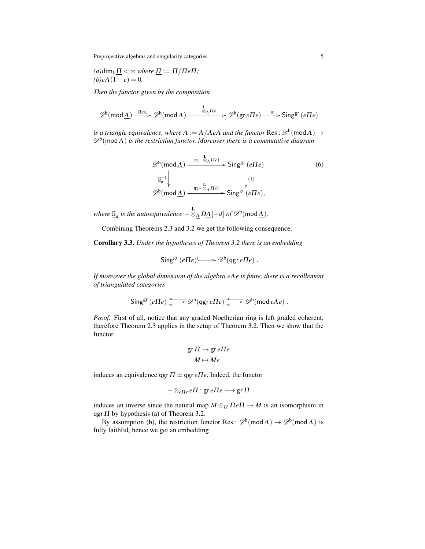Preprojective algebras and singularity categories 5

(a)dim<sub>k</sub> 
$$
\underline{\Pi}
$$
 <  $\sim$  where  $\underline{\Pi}$  :=  $\Pi/\Pi e \Pi$ ;  
(b)  $e\Lambda(1-e) = 0$ .

*Then the functor given by the composition*

$$
\mathscr{D}^b(\mathsf{mod}\,\underline{\Lambda})\xrightarrow{\mathrm{Res.}} \mathscr{D}^b(\mathsf{mod}\,\Lambda)\xrightarrow{\phantom{a}\phantom{a}\phantom{a}\phantom{a}\phantom{a}} \mathscr{D}^b(\mathsf{gr}\,e\Pi e)\xrightarrow{\phantom{a}\phantom{a}\phantom{a}\phantom{a}} \mathsf{Sing}^{\mathrm{gr}}\,(e\Pi e)
$$

*is a triangle equivalence, where*  $\underline{\Lambda} := \Lambda / \Lambda$ e $\Lambda$  *and the functor*  $\text{Res} : \mathscr{D}^{\text{b}}(\text{mod} \underline{\Lambda}) \to$  $\mathscr{D}^{\rm b}(\textsf{mod}\,\Lambda)$  is the restriction functor. Moreover there is a commutative diagram

$$
\mathscr{D}^{b}(\text{mod}\,\underline{\Lambda}) \xrightarrow{\pi(-\otimes_{\Lambda}\Pi e)} \text{Sing}^{\text{gr}}(e\Pi e)
$$
\n
$$
\xrightarrow{\underline{\mathbb{S}}_{d}^{-1}} \downarrow \qquad \qquad \downarrow \qquad \qquad \downarrow \qquad \qquad \downarrow \qquad \qquad \downarrow \qquad \qquad \downarrow \qquad \qquad \downarrow \qquad \qquad \downarrow \qquad \qquad \downarrow \qquad \qquad \downarrow \qquad \qquad \downarrow \qquad \qquad \downarrow \qquad \qquad \downarrow \qquad \qquad \downarrow \qquad \qquad \downarrow \qquad \qquad \downarrow \qquad \qquad \downarrow \qquad \qquad \downarrow \qquad \qquad \downarrow \qquad \qquad \downarrow \qquad \qquad \downarrow \qquad \qquad \downarrow \qquad \qquad \downarrow \qquad \qquad \downarrow \qquad \qquad \downarrow \qquad \qquad \downarrow \qquad \qquad \downarrow \qquad \qquad \downarrow \qquad \qquad \downarrow \qquad \qquad \downarrow \qquad \qquad \downarrow \qquad \qquad \downarrow \qquad \qquad \downarrow \qquad \qquad \downarrow \qquad \qquad \downarrow \qquad \qquad \downarrow \qquad \qquad \downarrow \qquad \qquad \downarrow \qquad \qquad \downarrow \qquad \qquad \downarrow \qquad \qquad \downarrow \qquad \qquad \downarrow \qquad \qquad \downarrow \qquad \qquad \downarrow \qquad \qquad \downarrow \qquad \qquad \downarrow \qquad \qquad \downarrow \qquad \qquad \downarrow \qquad \qquad \downarrow \qquad \qquad \downarrow \qquad \qquad \downarrow \qquad \qquad \downarrow \qquad \qquad \downarrow \qquad \qquad \downarrow \qquad \qquad \downarrow \qquad \qquad \downarrow \qquad \qquad \downarrow \qquad \qquad \downarrow \qquad \qquad \downarrow \qquad \qquad \downarrow \qquad \qquad \downarrow \qquad \qquad \downarrow \qquad \qquad \downarrow \qquad \qquad \downarrow \qquad \qquad \downarrow \qquad \qquad \downarrow \qquad \qquad \downarrow \qquad \qquad \downarrow \qquad \qquad \downarrow \qquad \qquad \downarrow \qquad \qquad \downarrow \qquad \qquad \downarrow \qquad \qquad \downarrow \qquad \qquad \downarrow \qquad \qquad \downarrow \qquad \qquad \downarrow \qquad \q
$$

where  $\underline{\mathbb{S}}_d$  is the autoequivalence  $-\otimes_{\underline{\Lambda}} D\underline{\Lambda}[-d]$  of  $\mathscr{D}^{\rm b}(\textsf{mod}\,\underline{\Lambda})$ .

Combining Theorems 2.3 and 3.2 we get the following consequence.

Corollary 3.3. *Under the hypotheses of Theorem 3.2 there is an embedding*

$$
\mathsf{Sing}^{\mathsf{gr}}(e \Pi e) \longrightarrow \mathscr{D}^b(\mathsf{qgr}\, e \Pi e) .
$$

*If moreover the global dimension of the algebra e*Λ*e is finite, there is a recollement of triangulated categories*

$$
\mathsf{Sing}^{\mathsf{gr}}\left(e\Pi e\right) \xrightarrow{\Longleftarrow} \mathscr{D}^{\mathsf{b}}\left(\mathsf{qgr}\,e\Pi e\right) \xrightarrow{\Longleftarrow} \mathscr{D}^{\mathsf{b}}\left(\mathsf{mod}\,e\Lambda e\right).
$$

*Proof.* First of all, notice that any graded Noetherian ring is left graded coherent, therefore Theorem 2.3 applies in the setup of Theorem 3.2. Then we show that the functor

$$
\operatorname{gr}\nolimits\Pi\to\operatorname{gr}\nolimits e\Pi e
$$

$$
M\mapsto Me
$$

induces an equivalence qgr  $\Pi \simeq$  qgr  $e \Pi e$ . Indeed, the functor

$$
-\otimes_{e\Pi e}e\Pi:\text{gr}\, e\Pi e\longrightarrow \text{gr}\,\Pi
$$

induces an inverse since the natural map  $M \otimes_{\Pi} \Pi e \Pi \rightarrow M$  is an isomorphism in qgr  $\Pi$  by hypothesis (a) of Theorem 3.2.

By assumption (b), the restriction functor Res :  $\mathscr{D}^b(\text{mod }\Delta) \to \mathscr{D}^b(\text{mod }\Lambda)$  is fully faithful, hence we get an embedding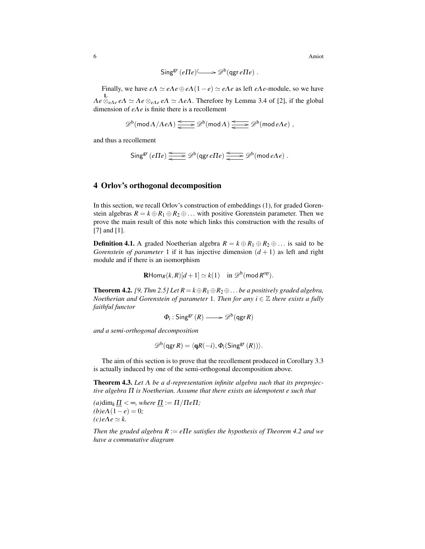$$
\mathsf{Sing}^{\mathsf{gr}}(e \Pi e) \longrightarrow \mathscr{D}^b(\mathsf{qgr}\, e \Pi e) .
$$

Finally, we have  $e\Lambda \simeq e\Lambda e \oplus e\Lambda (1-e) \simeq e\Lambda e$  as left  $e\Lambda e$ -module, so we have  $Λe ⊗<sub>eΛe</sub> eΛ ≈ Λe ⊗<sub>eΛe</sub> eΛ ≈ ΛeΛ.$  Therefore by Lemma 3.4 of [2], if the global dimension of *e*Λ*e* is finite there is a recollement

$$
\mathscr{D}^b(\operatorname{mod} A/\Lambda eA)\xrightarrow{\Longleftarrow} \mathscr{D}^b(\operatorname{mod} A)\xrightarrow{\Longleftarrow} \mathscr{D}^b(\operatorname{mod} eAe)\;,
$$

and thus a recollement

$$
\mathsf{Sing}^{\mathsf{gr}}\left(e\Pi e\right) \xrightarrow{\Longleftarrow} \mathscr{D}^{\mathsf{b}}\left(\mathsf{qgr}\,e\Pi e\right) \xrightarrow{\Longleftarrow} \mathscr{D}^{\mathsf{b}}\left(\mathsf{mod}\,e\Lambda e\right).
$$

#### 4 Orlov's orthogonal decomposition

In this section, we recall Orlov's construction of embeddings (1), for graded Gorenstein algebras  $R = k \oplus R_1 \oplus R_2 \oplus \ldots$  with positive Gorenstein parameter. Then we prove the main result of this note which links this construction with the results of [7] and [1].

**Definition 4.1.** A graded Noetherian algebra  $R = k \oplus R_1 \oplus R_2 \oplus \ldots$  is said to be *Gorenstein of parameter* 1 if it has injective dimension  $(d+1)$  as left and right module and if there is an isomorphism

$$
\mathbf{R}\mathrm{Hom}_R(k,R)[d+1] \simeq k(1) \quad \text{in } \mathscr{D}^{\mathrm{b}}(\mathrm{mod}\, R^{\mathrm{op}}).
$$

**Theorem 4.2.** *[9, Thm 2.5] Let*  $R = k \oplus R_1 \oplus R_2 \oplus \ldots$  *be a positively graded algebra, Noetherian and Gorenstein of parameter* 1*. Then for any i*  $\in \mathbb{Z}$  *there exists a fully faithful functor*

$$
\Phi_i: \mathsf{Sing}^{\mathsf{gr}}(R) \longrightarrow \mathscr{D}^{\mathsf{b}}(\mathsf{qgr} R)
$$

*and a semi-orthogonal decomposition*

$$
\mathscr{D}^{\rm b}(\operatorname{qgr} R)=\langle \operatorname{\mathbf{q}} R(-i), \operatorname{\Phi}_i(\operatorname{Sing}^{\operatorname{gr}}(R))\rangle.
$$

The aim of this section is to prove that the recollement produced in Corollary 3.3 is actually induced by one of the semi-orthogonal decomposition above.

Theorem 4.3. *Let* Λ *be a d-representation infinite algebra such that its preprojective algebra* Π *is Noetherian. Assume that there exists an idempotent e such that*

 $(a)$ dim<sub>k</sub>  $\Pi < \infty$ *, where*  $\Pi := \Pi / \Pi e \Pi$ ;  $(b)eA(1-e) = 0;$  $(c)$ *e* $\Lambda e \simeq k$ .

*Then the graded algebra R* := *e*Π*e satisfies the hypothesis of Theorem 4.2 and we have a commutative diagram*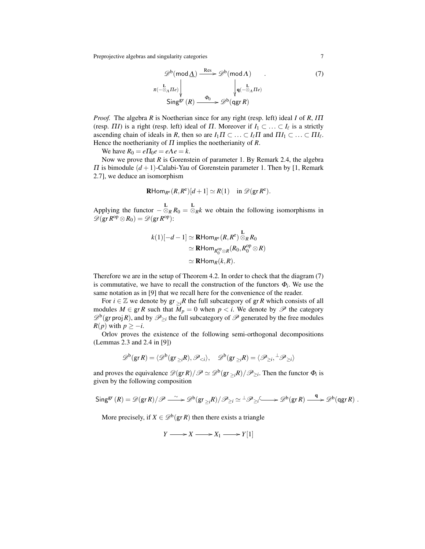Preprojective algebras and singularity categories 7

$$
\mathscr{D}^{b}(\text{mod }\underline{\Lambda}) \xrightarrow{\text{Res}} \mathscr{D}^{b}(\text{mod }\Lambda) \tag{7}
$$
  

$$
\pi(-\overline{\otimes}_{\Lambda} \Pi_{e}) \downarrow \qquad \qquad \downarrow \qquad \qquad \downarrow \qquad \qquad \downarrow \qquad \qquad \downarrow \qquad \qquad \downarrow \qquad \qquad \downarrow \qquad \downarrow \qquad \downarrow \qquad \downarrow \qquad \downarrow \qquad \downarrow \qquad \downarrow \qquad \downarrow \qquad \downarrow \qquad \downarrow \qquad \downarrow \qquad \downarrow \qquad \downarrow \qquad \downarrow \qquad \downarrow \qquad \downarrow \qquad \downarrow \qquad \downarrow \qquad \downarrow \qquad \downarrow \qquad \downarrow \qquad \downarrow \qquad \downarrow \qquad \downarrow \qquad \downarrow \qquad \downarrow \qquad \downarrow \qquad \downarrow \qquad \downarrow \qquad \downarrow \qquad \downarrow \qquad \downarrow \qquad \downarrow \qquad \downarrow \qquad \downarrow \qquad \downarrow \qquad \downarrow \qquad \downarrow \qquad \downarrow \qquad \downarrow \qquad \downarrow \qquad \downarrow \qquad \downarrow \qquad \downarrow \qquad \downarrow \qquad \downarrow \qquad \downarrow \qquad \downarrow \qquad \downarrow \qquad \downarrow \qquad \downarrow \qquad \downarrow \qquad \downarrow \qquad \downarrow \qquad \downarrow \qquad \downarrow \qquad \downarrow \qquad \downarrow \qquad \downarrow \qquad \downarrow \qquad \downarrow \qquad \downarrow \qquad \downarrow \qquad \downarrow \qquad \downarrow \qquad \downarrow \qquad \downarrow \qquad \downarrow \qquad \downarrow \qquad \downarrow \qquad \downarrow \qquad \downarrow \qquad \downarrow \qquad \downarrow \qquad \downarrow \qquad \downarrow \qquad \downarrow \qquad \downarrow \qquad \downarrow \qquad \downarrow \qquad \downarrow \qquad \downarrow \qquad \downarrow \qquad \downarrow \qquad \downarrow \qquad \downarrow \qquad \downarrow \qquad \downarrow \qquad \downarrow \qquad \downarrow \qquad \downarrow \qquad \downarrow \qquad \downarrow \qquad \downarrow \qquad \downarrow \qquad \downarrow \qquad \downarrow \qquad \downarrow \qquad \downarrow \qquad \downarrow \qquad \downarrow \qquad \downarrow \qquad \downarrow \qquad \downarrow \qquad \downarrow \qquad \downarrow
$$

*Proof.* The algebra *R* is Noetherian since for any right (resp. left) ideal *I* of *R*, *I*Π (resp.  $\Pi I$ ) is a right (resp. left) ideal of  $\Pi$ . Moreover if  $I_1 \subset \ldots \subset I_\ell$  is a strictly ascending chain of ideals in *R*, then so are  $I_1 \Pi \subset \ldots \subset I_\ell \Pi$  and  $\Pi I_1 \subset \ldots \subset \Pi I_\ell$ . Hence the noetherianity of Π implies the noetherianity of *R*.

We have  $R_0 = e \Pi_0 e = e \Lambda e = k$ .

Now we prove that *R* is Gorenstein of parameter 1. By Remark 2.4, the algebra  $\Pi$  is bimodule  $(d+1)$ -Calabi-Yau of Gorenstein parameter 1. Then by [1, Remark 2.7], we deduce an isomorphism

$$
\mathbf{R}\mathrm{Hom}_{R^e}(R,R^e)[d+1] \simeq R(1) \quad \text{in } \mathscr{D}(\mathrm{gr } R^e).
$$

Applying the functor  $-\frac{L}{\otimes_R}R_0 = \frac{L}{\otimes_R}k$  we obtain the following isomorphisms in  $\mathscr{D}(\operatorname{gr} R^{\operatorname{op}} \otimes R_0) = \mathscr{D}(\operatorname{gr} R^{\operatorname{op}})$ :

$$
k(1)[-d-1] \simeq \mathbf{R} \text{Hom}_{R^e}(R, R^e) \overset{\mathbf{L}}{\otimes}_R R_0
$$
  
\simeq \mathbf{R} \text{Hom}\_{R\_0^{\text{op}} \otimes R}(R\_0, R\_0^{\text{op}} \otimes R)   
\simeq \mathbf{R} \text{Hom}\_{R}(k, R).

Therefore we are in the setup of Theorem 4.2. In order to check that the diagram (7) is commutative, we have to recall the construction of the functors  $\Phi_i$ . We use the same notation as in [9] that we recall here for the convenience of the reader.

For  $i \in \mathbb{Z}$  we denote by  $gr_{\geq i}R$  the full subcategory of  $gr R$  which consists of all modules  $M \in \text{gr } R$  such that  $M_p = 0$  when  $p < i$ . We denote by  $\mathscr P$  the category  $\mathscr{D}^b$ (gr proj R), and by  $\mathscr{P}_{\geq i}$  the full subcategory of  $\mathscr{P}$  generated by the free modules *R*(*p*) with  $p \ge -i$ .

Orlov proves the existence of the following semi-orthogonal decompositions (Lemmas 2.3 and 2.4 in [9])

$$
\mathscr{D}^b(\mathsf{gr}\,R)=\langle \mathscr{D}^b(\mathsf{gr}_{\geq i}R),\mathscr{P}_{\leq i}\rangle,\quad \mathscr{D}^b(\mathsf{gr}_{\geq i}R)=\langle \mathscr{P}_{\geq i},\perp \mathscr{P}_{\geq i}\rangle
$$

and proves the equivalence  $\mathscr{D}(\mathsf{gr}\,R)/\mathscr{P} \simeq \mathscr{D}^{\mathsf{b}}(\mathsf{gr}_{\geq i}R)/\mathscr{P}_{\geq i}$ . Then the functor  $\Phi_i$  is given by the following composition

$$
\mathsf{Sing}^{\mathsf{gr}}(R) = \mathscr{D}(\mathsf{gr}\,R)/\mathscr{P} \xrightarrow{\sim} \mathscr{D}^{\mathsf{b}}(\mathsf{gr}_{\geq i}R)/\mathscr{P}_{\geq i} \simeq {}^{\perp}\mathscr{P}_{\geq i} \xrightarrow{\mathsf{g}} \mathscr{D}^{\mathsf{b}}(\mathsf{gr}\,R) \xrightarrow{\mathsf{q}} \mathscr{D}^{\mathsf{b}}(\mathsf{qgr}\,R) .
$$

More precisely, if  $X \in \mathcal{D}^b(\textsf{gr}\,R)$  then there exists a triangle

$$
Y \longrightarrow X \longrightarrow X_1 \longrightarrow Y[1]
$$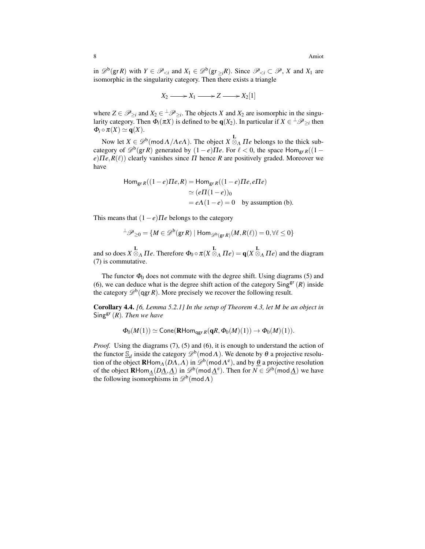in  $\mathscr{D}^b(\text{gr } R)$  with  $Y \in \mathscr{P}_{\leq i}$  and  $X_1 \in \mathscr{D}^b(\text{gr}_{\geq i}R)$ . Since  $\mathscr{P}_{\leq i} \subset \mathscr{P}, X$  and  $X_1$  are isomorphic in the singularity category. Then there exists a triangle

$$
X_2 \longrightarrow X_1 \longrightarrow Z \longrightarrow X_2[1]
$$

where  $Z \in \mathscr{P}_{\geq i}$  and  $X_2 \in {}^{\perp} \mathscr{P}_{\geq i}$ . The objects *X* and  $X_2$  are isomorphic in the singularity category. Then  $\Phi_i(\pi X)$  is defined to be  $q(X_2)$ . In particular if  $X \in \mathcal{P}_{\geq i}$  then  $\Phi_i \circ \pi(X) \simeq \mathbf{q}(X)$ .

Now let  $X \in \mathcal{D}^b(\text{mod } \Lambda / \Lambda e\Lambda)$ . The object  $X \otimes_{\Lambda} \Pi e$  belongs to the thick subcategory of  $\mathcal{D}^b(\mathsf{gr}\,R)$  generated by  $(1-e)\Pi e$ . For  $\ell < 0$ , the space Hom<sub>gr *R*</sub>((1 –  $e$ ) $\Pi e$ ,  $R(\ell)$ ) clearly vanishes since  $\Pi$  hence  $R$  are positively graded. Moreover we have

$$
\begin{aligned} \text{Hom}_{\text{gr }R}((1-e)\Pi e, R) &= \text{Hom}_{\text{gr }R}((1-e)\Pi e, e\Pi e) \\ &\simeq (e\Pi(1-e))_0 \\ &= e\Lambda(1-e) = 0 \quad \text{by assumption (b).} \end{aligned}
$$

This means that  $(1-e)\Pi e$  belongs to the category

$$
{}^{\perp}\mathscr{P}_{\geq 0} = \{ M \in \mathscr{D}^b(\text{gr } R) \mid \text{Hom}_{\mathscr{D}^b(\text{gr } R)}(M, R(\ell)) = 0, \forall \ell \leq 0 \}
$$

and so does  $X \otimes_A \Pi e$ . Therefore  $\Phi_0 \circ \pi(X \otimes_A \Pi e) = \mathbf{q}(X \otimes_A \Pi e)$  and the diagram (7) is commutative.

The functor  $\Phi_0$  does not commute with the degree shift. Using diagrams (5) and (6), we can deduce what is the degree shift action of the category  $\text{Sing}^{\text{gr}}(R)$  inside the category  $\mathscr{D}^b$ (qgr *R*). More precisely we recover the following result.

Corollary 4.4. *[6, Lemma 5.2.1] In the setup of Theorem 4.3, let M be an object in* Singgr (*R*)*. Then we have*

$$
\Phi_0(M(1)) \simeq \operatorname{Cone}(\operatorname{\mathbf{R}Hom}_{\operatorname{\mathbf{qgr}} R}(\mathbf{q}R, \Phi_0(M)(1)) \to \Phi_0(M)(1)).
$$

*Proof.* Using the diagrams (7), (5) and (6), it is enough to understand the action of the functor  $\mathcal{S}_d$  inside the category  $\mathcal{D}^b(\mathsf{mod}\Lambda)$ . We denote by  $\theta$  a projective resolution of the object  $\mathbf{R}\text{Hom}_{\Lambda}(D\Lambda,\Lambda)$  in  $\mathscr{D}^{\rm b}(\text{mod }\Lambda^{\rm e})$ , and by  $\underline{\theta}$  a projective resolution of the object  $\mathbf{R}$ Hom $_{\underline{\Lambda}}(D\underline{\Lambda}, \underline{\Lambda})$  in  $\mathscr{D}^b(\text{mod }\underline{\Lambda}^e)$ . Then for  $N \in \mathscr{D}^b(\text{mod }\underline{\Lambda})$  we have the following isomorphisms in  $\mathscr{D}^b(\text{mod }\Lambda)$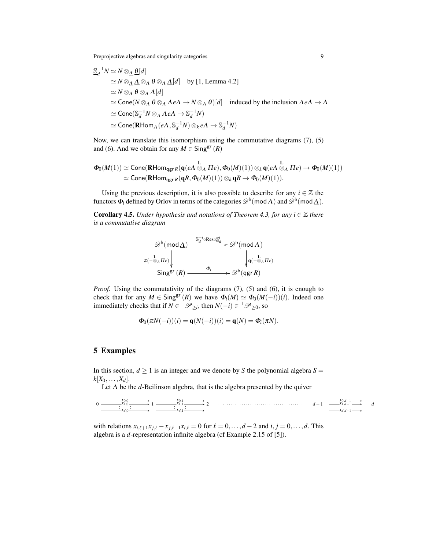Preprojective algebras and singularity categories 9

$$
\begin{aligned}\n&\frac{\mathbb{S}_{d}^{-1}N \simeq N \otimes_{\Delta} \underline{\theta}[d]}{\simeq N \otimes_{\Delta} \Delta \otimes_{\Delta} \theta \otimes_{\Delta} \Delta[d]} & \text{by [1, Lemma 4.2]} \\
&\simeq N \otimes_{\Delta} \underline{\Theta} \otimes_{\Delta} \underline{\Delta}[d] \\
&\simeq \text{Cone}(N \otimes_{\Delta} \theta \otimes_{\Delta} \Lambda e\Lambda \to N \otimes_{\Delta} \theta)[d] & \text{induced by the inclusion } \Lambda e\Lambda \to \Lambda \\
&\simeq \text{Cone}(\mathbb{S}_{d}^{-1}N \otimes_{\Delta} \Lambda e\Lambda \to \mathbb{S}_{d}^{-1}N) \\
&\simeq \text{Cone}(\mathbf{R} \text{Hom}_{\Lambda}(e\Lambda, \mathbb{S}_{d}^{-1}N) \otimes_{k} e\Lambda \to \mathbb{S}_{d}^{-1}N)\n\end{aligned}
$$

Now, we can translate this isomorphism using the commutative diagrams (7), (5) and (6). And we obtain for any  $M \in Sing^{\text{gr}}(R)$ 

$$
\begin{array}{ll}\Phi_0(M(1))\simeq{\rm Cone}({\bf R}{\rm Hom}_{{\rm qgr}\,R}({\bf q}(eA\overset{\bf L}{\otimes}_A\Pi e),\Phi_0(M)(1))\otimes_k {\bf q}(eA\overset{\bf L}{\otimes}_A\Pi e)\rightarrow\Phi_0(M)(1))\\ \simeq{\rm Cone}({\bf R}{\rm Hom}_{{\rm qgr}\,R}({\bf q}R,\Phi_0(M)(1))\otimes_k{\bf q}R\rightarrow\Phi_0(M)(1)).\end{array}
$$

Using the previous description, it is also possible to describe for any  $i \in \mathbb{Z}$  the functors  $\Phi_i$  defined by Orlov in terms of the categories  $\mathscr{D}^{\rm b}(\bmod\Lambda)$  and  $\mathscr{D}^{\rm b}(\bmod\Lambda)$ .

**Corollary 4.5.** *Under hypothesis and notations of Theorem 4.3, for any i*  $\in \mathbb{Z}$  *there is a commutative diagram*

$$
\mathscr{D}^{b}(\text{mod}\,\underline{\Lambda}) \xrightarrow{\mathbb{S}_{d}^{-i} \circ \text{Res} \circ \underline{\mathbb{S}}_{d}^{i}} \mathscr{D}^{b}(\text{mod}\,\Lambda)
$$
\n
$$
\pi(-\overline{\mathbb{S}}_{\Lambda}\Pi_{e}) \Big|_{\Psi} \xrightarrow{\mathbf{L}} \mathbb{S}^{\mathbf{L}}(\mathbb{R}) \xrightarrow{\Phi_{i}} \mathscr{D}^{b}(\text{qgr}\,\mathbb{R})
$$

*Proof.* Using the commutativity of the diagrams (7), (5) and (6), it is enough to check that for any  $M \in Sing^{gr}(R)$  we have  $\Phi_i(M) \simeq \Phi_0(M(-i))(i)$ . Indeed one immediately checks that if  $N \in {}^{\perp} \mathscr{P}_{\geq i}$ , then  $N(-i) \in {}^{\perp} \mathscr{P}_{\geq 0}$ , so

$$
\Phi_0(\pi N(-i))(i) = \mathbf{q}(N(-i))(i) = \mathbf{q}(N) = \Phi_i(\pi N).
$$

## 5 Examples

In this section,  $d \geq 1$  is an integer and we denote by *S* the polynomial algebra  $S =$  $k[X_0, \ldots, X_d].$ 

Let  $\Lambda$  be the  $d$ -Beilinson algebra, that is the algebra presented by the quiver

| $x_0$ and $x_0$ and $x_0$ and $x_0$ and $x_0$ and $x_0$ and $x_0$ and $x_0$ and $x_0$ and $x_0$ and $x_0$ and $x_0$ and $x_0$ and $x_0$ and $x_0$ and $x_0$ and $x_0$ and $x_0$ and $x_0$ and $x_0$ and $x_0$ and $x_0$ and<br>$0 \longrightarrow x_{1,0} \longrightarrow 1 \longrightarrow x_{1,1} \longrightarrow 2 \longrightarrow 2 \longrightarrow x_{1,0} \longrightarrow d-1 \longrightarrow x_{1,d-1} \longrightarrow d$ |  | $\longrightarrow x_0$ $d-1 \longrightarrow$   |  |
|----------------------------------------------------------------------------------------------------------------------------------------------------------------------------------------------------------------------------------------------------------------------------------------------------------------------------------------------------------------------------------------------------------------------------------|--|-----------------------------------------------|--|
| $X_{d,0} \longrightarrow X_{d,1} \longrightarrow X_{d,1} \longrightarrow X_{d,1}$                                                                                                                                                                                                                                                                                                                                                |  | $\longrightarrow$ $X_{d,d-1} \longrightarrow$ |  |

with relations  $x_{i,\ell+1}x_{j,\ell} - x_{j,\ell+1}x_{i,\ell} = 0$  for  $\ell = 0, \ldots, d-2$  and  $i, j = 0, \ldots, d$ . This algebra is a *d*-representation infinite algebra (cf Example 2.15 of [5]).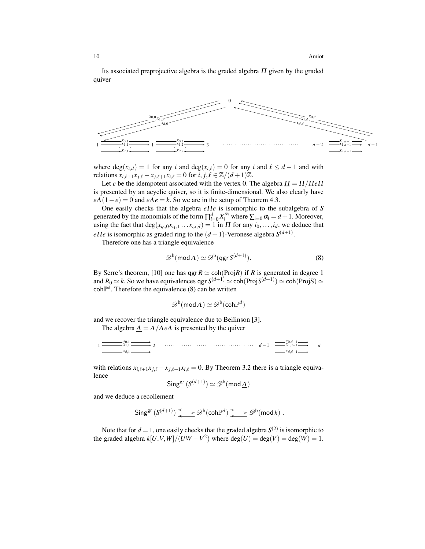Its associated preprojective algebra is the graded algebra  $\Pi$  given by the graded quiver



where  $deg(x_{i,d}) = 1$  for any *i* and  $deg(x_{i,\ell}) = 0$  for any *i* and  $\ell \leq d - 1$  and with relations  $x_{i,\ell+1}x_{i,\ell} - x_{i,\ell+1}x_{i,\ell} = 0$  for  $i, j, \ell \in \mathbb{Z}/(d+1)\mathbb{Z}$ .

Let *e* be the idempotent associated with the vertex 0. The algebra  $\underline{\Pi} = \Pi / \Pi e \Pi$ is presented by an acyclic quiver, so it is finite-dimensional. We also clearly have  $e\Lambda(1-e) = 0$  and  $e\Lambda e = k$ . So we are in the setup of Theorem 4.3.

One easily checks that the algebra *e*Π*e* is isomorphic to the subalgebra of *S* generated by the monomials of the form  $\prod_{i=0}^{d} X_i^{\alpha_i}$  where  $\sum_{i=0} \alpha_i = d+1$ . Moreover, using the fact that  $\deg(x_{i_0,0}x_{i_1,1} \ldots x_{i_d,d}) = 1$  in  $\Pi$  for any  $i_0,\ldots,i_d$ , we deduce that *e IIe* is isomorphic as graded ring to the  $(d+1)$ -Veronese algebra  $S^{(d+1)}$ .

Therefore one has a triangle equivalence

$$
\mathscr{D}^b(\text{mod}\,\Lambda) \simeq \mathscr{D}^b(\text{qgr}\,S^{(d+1)}). \tag{8}
$$

By Serre's theorem, [10] one has  $qgr R \simeq \text{coh}(Proj R)$  if *R* is generated in degree 1 and  $R_0 \simeq k$ . So we have equivalences qgr  $S^{(d+1)} \simeq \text{coh}(\text{Proj} S^{(d+1)}) \simeq \text{coh}(\text{Proj} S) \simeq$  $\text{coh} \mathbb{P}^d$ . Therefore the equivalence (8) can be written

$$
\mathscr{D}^b(\operatorname{mod} \Lambda) \simeq \mathscr{D}^b(\operatorname{coh} \mathbb{P}^d)
$$

and we recover the triangle equivalence due to Beilinson [3]. The algebra  $\underline{\Lambda} = \Lambda / \Lambda e \Lambda$  is presented by the quiver

 $\overrightarrow{x_0}$ ,  $\overrightarrow{x_1}$ ,  $\overrightarrow{x_2}$   $\overrightarrow{x_3}$   $\overrightarrow{x_4}$   $\overrightarrow{x_5}$   $\overrightarrow{x_6}$   $\overrightarrow{x_7}$ 

$$
x_{d,1} \xrightarrow{\qquad} x_{d,d-1} \xrightarrow{\qquad} x_{d,d-1}
$$

with relations  $x_{i,\ell+1}x_{i,\ell} - x_{i,\ell+1}x_{i,\ell} = 0$ . By Theorem 3.2 there is a triangle equivalence

$$
\mathsf{Sing}^{\mathsf{gr}}\,(S^{(d+1)}) \simeq \mathscr{D}^{\mathrm{b}}(\mathsf{mod}\,\underline{\Lambda})
$$

and we deduce a recollement

$$
\operatorname{Sing}^{\operatorname{gr}}\left(S^{(d+1)}\right) \xrightarrow{\Longleftarrow} \mathscr{D}^{\operatorname{b}}(\operatorname{coh}\mathbb{P}^d) \xrightarrow{\Longleftarrow} \mathscr{D}^{\operatorname{b}}(\operatorname{mod} k)\ .
$$

Note that for  $d = 1$ , one easily checks that the graded algebra  $S^{(2)}$  is isomorphic to the graded algebra  $k[U, V, W]/(UW - V^2)$  where  $deg(U) = deg(V) = deg(W) = 1$ .